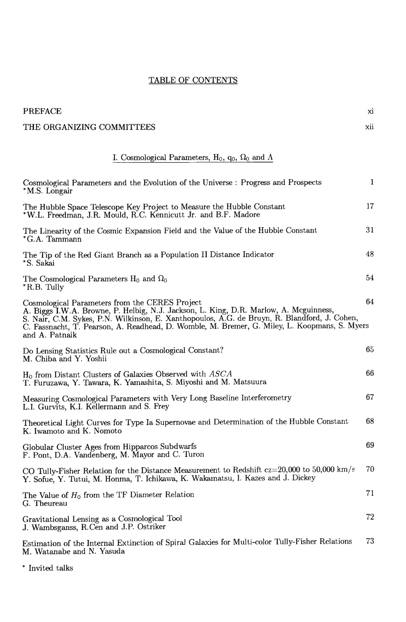## TABLE OF CONTENTS

| <b>PREFACE</b>                                                                                                                                                                                                                                                                                                                                            | xi           |
|-----------------------------------------------------------------------------------------------------------------------------------------------------------------------------------------------------------------------------------------------------------------------------------------------------------------------------------------------------------|--------------|
| THE ORGANIZING COMMITTEES                                                                                                                                                                                                                                                                                                                                 | xii          |
| I. Cosmological Parameters, $H_0$ , $q_0$ , $\Omega_0$ and $\Lambda$                                                                                                                                                                                                                                                                                      |              |
| Cosmological Parameters and the Evolution of the Universe : Progress and Prospects<br>*M.S. Longair                                                                                                                                                                                                                                                       | $\mathbf{1}$ |
| The Hubble Space Telescope Key Project to Measure the Hubble Constant<br>*W.L. Freedman, J.R. Mould, R.C. Kennicutt Jr. and B.F. Madore                                                                                                                                                                                                                   | 17           |
| The Linearity of the Cosmic Expansion Field and the Value of the Hubble Constant<br>*G.A. Tammann                                                                                                                                                                                                                                                         | 31           |
| The Tip of the Red Giant Branch as a Population II Distance Indicator<br>*S. Sakai                                                                                                                                                                                                                                                                        | 48           |
| The Cosmological Parameters $H_0$ and $\Omega_0$<br>*R.B. Tully                                                                                                                                                                                                                                                                                           | 54           |
| Cosmological Parameters from the CERES Project<br>A. Biggs I.W.A. Browne, P. Helbig, N.J. Jackson, L. King, D.R. Marlow, A. Mcguinness,<br>S. Nair, C.M. Sykes, P.N. Wilkinson, E. Xanthopoulos, A.G. de Bruyn, R. Blandford, J. Cohen,<br>C. Fassnacht, T. Pearson, A. Readhead, D. Womble, M. Bremer, G. Miley, L. Koopmans, S. Myers<br>and A. Patnaik | 64           |
| Do Lensing Statistics Rule out a Cosmological Constant?<br>M. Chiba and Y. Yoshii                                                                                                                                                                                                                                                                         | 65           |
| $H_0$ from Distant Clusters of Galaxies Observed with $ASCA$<br>T. Furuzawa, Y. Tawara, K. Yamashita, S. Miyoshi and M. Matsuura                                                                                                                                                                                                                          | 66           |
| Measuring Cosmological Parameters with Very Long Baseline Interferometry<br>L.I. Gurvits, K.I. Kellermann and S. Frey                                                                                                                                                                                                                                     | 67           |
| Theoretical Light Curves for Type Ia Supernovae and Determination of the Hubble Constant<br>K. Iwamoto and K. Nomoto                                                                                                                                                                                                                                      | 68           |
| Globular Cluster Ages from Hipparcos Subdwarfs<br>F. Pont, D.A. Vandenberg, M. Mayor and C. Turon                                                                                                                                                                                                                                                         | 69           |
| CO Tully-Fisher Relation for the Distance Measurement to Redshift $cz=20,000$ to 50,000 km/s<br>Y. Sofue, Y. Tutui, M. Honma, T. Ichikawa, K. Wakamatsu, I. Kazes and J. Dickey                                                                                                                                                                           | 70           |
| The Value of $H_0$ from the TF Diameter Relation<br>G. Theureau                                                                                                                                                                                                                                                                                           | 71           |
| Gravitational Lensing as a Cosmological Tool<br>J. Wambsganss, R.Cen and J.P. Ostriker                                                                                                                                                                                                                                                                    | 72           |
| Estimation of the Internal Extinction of Spiral Galaxies for Multi-color Tully-Fisher Relations<br>M. Watanabe and N. Yasuda                                                                                                                                                                                                                              | 73           |

 $^{\ast}$  Invited talks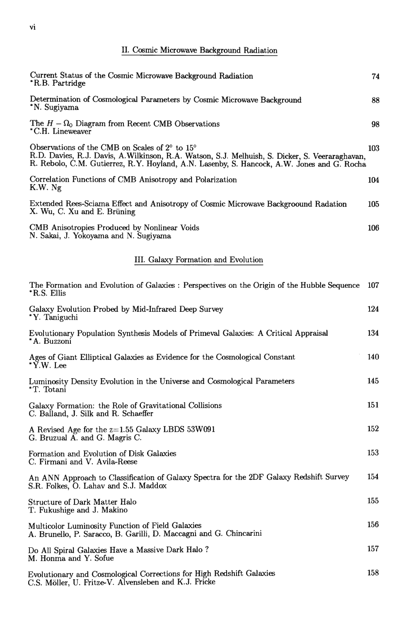## II. Cosmic Microwave Background Radiation

| Current Status of the Cosmic Microwave Background Radiation<br>*R.B. Partridge                                                                                                                                                                 | 74  |
|------------------------------------------------------------------------------------------------------------------------------------------------------------------------------------------------------------------------------------------------|-----|
| Determination of Cosmological Parameters by Cosmic Microwave Background<br>*N. Sugiyama                                                                                                                                                        | 88  |
| The $H - \Omega_0$ Diagram from Recent CMB Observations<br>*C.H. Lineweaver                                                                                                                                                                    | 98  |
| Observations of the CMB on Scales of 2° to 15°<br>R.D. Davies, R.J. Davis, A.Wilkinson, R.A. Watson, S.J. Melhuish, S. Dicker, S. Veeraraghavan,<br>R. Rebolo, C.M. Gutierrez, R.Y. Hoyland, A.N. Lasenby, S. Hancock, A.W. Jones and G. Rocha | 103 |
| Correlation Functions of CMB Anisotropy and Polarization<br>K.W. Ng                                                                                                                                                                            | 104 |
| Extended Rees-Sciama Effect and Anisotropy of Cosmic Microwave Backgroound Radation<br>X. Wu, C. Xu and E. Brüning                                                                                                                             | 105 |
| CMB Anisotropies Produced by Nonlinear Voids<br>N. Sakai, J. Yokoyama and N. Sugiyama                                                                                                                                                          | 106 |
| III. Galaxy Formation and Evolution                                                                                                                                                                                                            |     |
| The Formation and Evolution of Galaxies : Perspectives on the Origin of the Hubble Sequence<br>*R.S. Ellis                                                                                                                                     | 107 |
| Galaxy Evolution Probed by Mid-Infrared Deep Survey<br>*Y. Taniguchi                                                                                                                                                                           | 124 |
| Evolutionary Population Synthesis Models of Primeval Galaxies: A Critical Appraisal<br>* A. Buzzoni                                                                                                                                            | 134 |
| Ages of Giant Elliptical Galaxies as Evidence for the Cosmological Constant<br>$* \check{Y}.W.$ Lee                                                                                                                                            | 140 |
| Luminosity Density Evolution in the Universe and Cosmological Parameters<br>*T. Totani                                                                                                                                                         | 145 |
| Galaxy Formation: the Role of Gravitational Collisions<br>C. Balland, J. Silk and R. Schaeffer                                                                                                                                                 | 151 |

A Revised Age for the  $z=1.55$  Galaxy LBDS 53W091 G. Bruzual A. and G. Magris C.

Formation and Evolution of Disk Galaxies C. Firmani and V. Avila-Reese

An ANN Approach to Classification of Galaxy Spectra for the 2DF Galaxy Redshift Survey 154 S.R. Folkes, O. Lahav and S.J. Maddox 155 Structure of Dark Matter Halo T. Fukushige and J. Makino 156 Multicolor Luminosity Function of Field Galaxies A. Brunello, P. Saracco, B. Garilli, D. Maccagni and G. Chincarini 157 Do All Spiral Galaxies Have a Massive Dark Halo? M. Honma and Y. Sofue

152

153

Evolutionary and Cosmological Corrections for High Redshift Galaxies 158 C.S. Möller, U. Fritze-V. Alvensleben and K.J. Fricke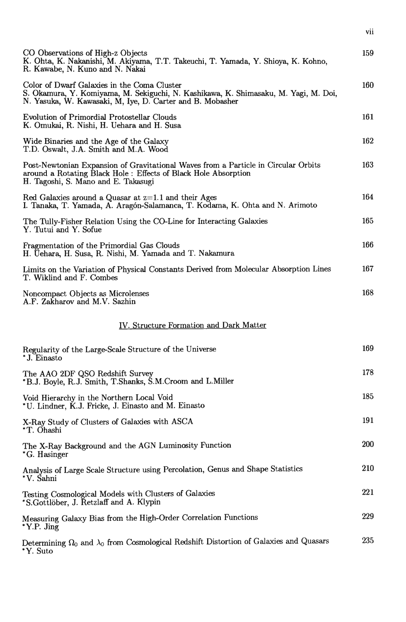| CO Observations of High-z Objects<br>K. Ohta, K. Nakanishi, M. Akiyama, T.T. Takeuchi, T. Yamada, Y. Shioya, K. Kohno,<br>R. Kawabe, N. Kuno and N. Nakai                                       | 159        |
|-------------------------------------------------------------------------------------------------------------------------------------------------------------------------------------------------|------------|
| Color of Dwarf Galaxies in the Coma Cluster<br>S. Okamura, Y. Komiyama, M. Sekiguchi, N. Kashikawa, K. Shimasaku, M. Yagi, M. Doi,<br>N. Yasuka, W. Kawasaki, M. Iye, D. Carter and B. Mobasher | 160        |
| <b>Evolution of Primordial Protostellar Clouds</b><br>K. Omukai, R. Nishi, H. Uehara and H. Susa                                                                                                | 161        |
| Wide Binaries and the Age of the Galaxy<br>T.D. Oswalt, J.A. Smith and M.A. Wood                                                                                                                | 162        |
| Post-Newtonian Expansion of Gravitational Waves from a Particle in Circular Orbits<br>around a Rotating Black Hole : Effects of Black Hole Absorption<br>H. Tagoshi, S. Mano and E. Takasugi    | 163        |
| Red Galaxies around a Quasar at $z=1.1$ and their Ages<br>I. Tanaka, T. Yamada, A. Aragón-Salamanca, T. Kodama, K. Ohta and N. Arimoto                                                          | 164        |
| The Tully-Fisher Relation Using the CO-Line for Interacting Galaxies<br>Y. Tutui and Y. Sofue                                                                                                   | 165        |
| Fragmentation of the Primordial Gas Clouds<br>H. Üehara, H. Susa, R. Nishi, M. Yamada and T. Nakamura                                                                                           | 166        |
| Limits on the Variation of Physical Constants Derived from Molecular Absorption Lines<br>T. Wiklind and F. Combes                                                                               | 167        |
| Noncompact Objects as Microlenses<br>A.F. Zakharov and M.V. Sazhin                                                                                                                              | 168        |
| IV. Structure Formation and Dark Matter                                                                                                                                                         |            |
| Regularity of the Large-Scale Structure of the Universe<br>* J. Einasto                                                                                                                         | 169        |
| The AAO 2DF QSO Redshift Survey<br>*B.J. Boyle, R.J. Smith, T.Shanks, S.M.Croom and L.Miller                                                                                                    | 178        |
| Void Hierarchy in the Northern Local Void<br>*U. Lindner, K.J. Fricke, J. Einasto and M. Einasto                                                                                                | 185        |
| X-Ray Study of Clusters of Galaxies with ASCA<br>*T. Ohashi                                                                                                                                     | 191        |
| The X-Ray Background and the AGN Luminosity Function<br>*G. Hasinger                                                                                                                            | <b>200</b> |
| Analysis of Large Scale Structure using Percolation, Genus and Shape Statistics<br>*V. Šahni                                                                                                    | 210        |
| Testing Cosmological Models with Clusters of Galaxies<br>*S.Gottlöber, J. Retzlaff and A. Klypin                                                                                                | 221        |
| Measuring Galaxy Bias from the High-Order Correlation Functions<br>*Y.P. Jing                                                                                                                   | 229        |
| Determining $\Omega_0$ and $\lambda_0$ from Cosmological Redshift Distortion of Galaxies and Quasars<br>*Y. Suto                                                                                | 235        |

vii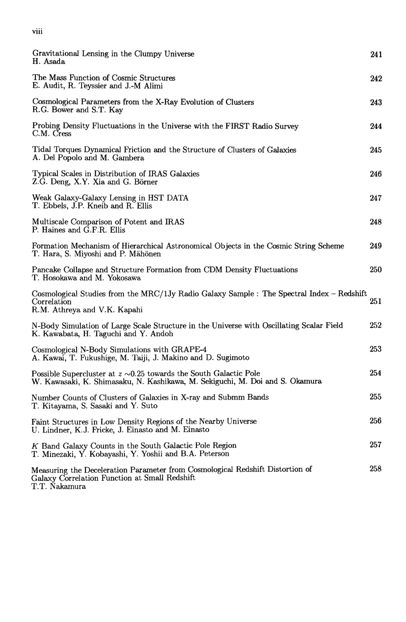| Gravitational Lensing in the Clumpy Universe<br>H. Asada                                                                                               | 241 |
|--------------------------------------------------------------------------------------------------------------------------------------------------------|-----|
| The Mass Function of Cosmic Structures<br>E. Audit, R. Teyssier and J.-M Alimi                                                                         | 242 |
| Cosmological Parameters from the X-Ray Evolution of Clusters<br>R.G. Bower and S.T. Kay                                                                | 243 |
| Probing Density Fluctuations in the Universe with the FIRST Radio Survey<br>C.M. Cress                                                                 | 244 |
| Tidal Torques Dynamical Friction and the Structure of Clusters of Galaxies<br>A. Del Popolo and M. Gambera                                             | 245 |
| Typical Scales in Distribution of IRAS Galaxies<br>Z.G. Deng, X.Y. Xia and G. Börner                                                                   | 246 |
| Weak Galaxy-Galaxy Lensing in HST DATA<br>T. Ebbels, J.P. Kneib and R. Ellis                                                                           | 247 |
| Multiscale Comparison of Potent and IRAS<br>P. Haines and G.F.R. Ellis                                                                                 | 248 |
| Formation Mechanism of Hierarchical Astronomical Objects in the Cosmic String Scheme<br>T. Hara, S. Miyoshi and P. Mähönen                             | 249 |
| Pancake Collapse and Structure Formation from CDM Density Fluctuations<br>T. Hosokawa and M. Yokosawa                                                  | 250 |
| Cosmological Studies from the MRC/1Jy Radio Galaxy Sample : The Spectral Index – Redshift<br>Correlation<br>R.M. Athreya and V.K. Kapahi               | 251 |
| N-Body Simulation of Large Scale Structure in the Universe with Oscillating Scalar Field<br>K. Kawabata, H. Taguchi and Y. Andoh                       | 252 |
| Cosmological N-Body Simulations with GRAPE-4<br>A. Kawai, T. Fukushige, M. Taiji, J. Makino and D. Sugimoto                                            | 253 |
| Possible Supercluster at $z \sim 0.25$ towards the South Galactic Pole<br>W. Kawasaki, K. Shimasaku, N. Kashikawa, M. Sekiguchi, M. Doi and S. Okamura | 254 |
| Number Counts of Clusters of Galaxies in X-ray and Submm Bands<br>T. Kitayama, S. Sasaki and Y. Suto                                                   | 255 |
| Faint Structures in Low Density Regions of the Nearby Universe<br>U. Lindner, K.J. Fricke, J. Einasto and M. Einasto                                   | 256 |
| K Band Galaxy Counts in the South Galactic Pole Region<br>T. Minezaki, Y. Kobayashi, Y. Yoshii and B.A. Peterson                                       | 257 |
| Measuring the Deceleration Parameter from Cosmological Redshift Distortion of<br>Galaxy Correlation Function at Small Redshift<br>T.T. Nakamura        | 258 |

viii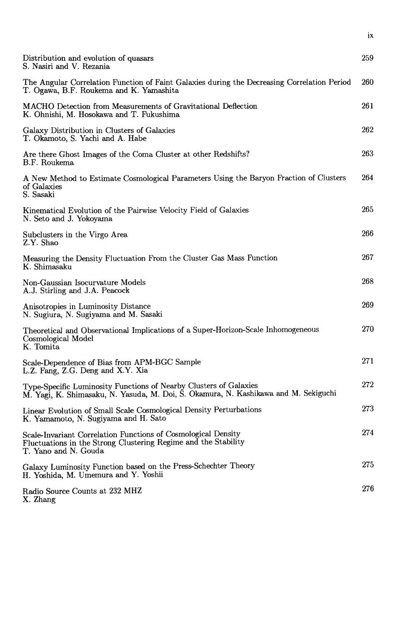| Distribution and evolution of quasars<br>S. Nasiri and V. Rezania                                                                                        | 259 |
|----------------------------------------------------------------------------------------------------------------------------------------------------------|-----|
| The Angular Correlation Function of Faint Galaxies during the Decreasing Correlation Period<br>T. Ogawa, B.F. Roukema and K. Yamashita                   | 260 |
| MACHO Detection from Measurements of Gravitational Deflection<br>K. Ohnishi, M. Hosokawa and T. Fukushima                                                | 261 |
| Galaxy Distribution in Clusters of Galaxies<br>T. Okamoto, S. Yachi and A. Habe                                                                          | 262 |
| Are there Ghost Images of the Coma Cluster at other Redshifts?<br>B.F. Roukema                                                                           | 263 |
| A New Method to Estimate Cosmological Parameters Using the Baryon Fraction of Clusters<br>of Galaxies<br>S. Sasaki                                       | 264 |
| Kinematical Evolution of the Pairwise Velocity Field of Galaxies<br>N. Seto and J. Yokoyama                                                              | 265 |
| Subclusters in the Virgo Area<br>Z.Y. Shao                                                                                                               | 266 |
| Measuring the Density Fluctuation From the Cluster Gas Mass Function<br>K. Shimasaku                                                                     | 267 |
| Non-Gaussian Isocurvature Models<br>A.J. Stirling and J.A. Peacock                                                                                       | 268 |
| Anisotropies in Luminosity Distance<br>N. Sugiura, N. Sugiyama and M. Sasaki                                                                             | 269 |
| Theoretical and Observational Implications of a Super-Horizon-Scale Inhomogeneous<br>Cosmological Model<br>K. Tomita                                     | 270 |
| Scale-Dependence of Bias from APM-BGC Sample<br>L.Z. Fang, Z.G. Deng and X.Y. Xia                                                                        | 271 |
| Type-Specific Luminosity Functions of Nearby Clusters of Galaxies<br>M. Yagi, K. Shimasaku, N. Yasuda, M. Doi, S. Okamura, N. Kashikawa and M. Sekiguchi | 272 |
| Linear Evolution of Small Scale Cosmological Density Perturbations<br>K. Yamamoto, N. Sugiyama and H. Sato                                               | 273 |
| Scale-Invariant Correlation Functions of Cosmological Density<br>Fluctuations in the Strong Clustering Regime and the Stability<br>T. Yano and N. Gouda  | 274 |
| Galaxy Luminosity Function based on the Press-Schechter Theory<br>H. Yoshida, M. Umemura and Y. Yoshii                                                   | 275 |
| Radio Source Counts at 232 MHZ<br>X. Zhang                                                                                                               | 276 |